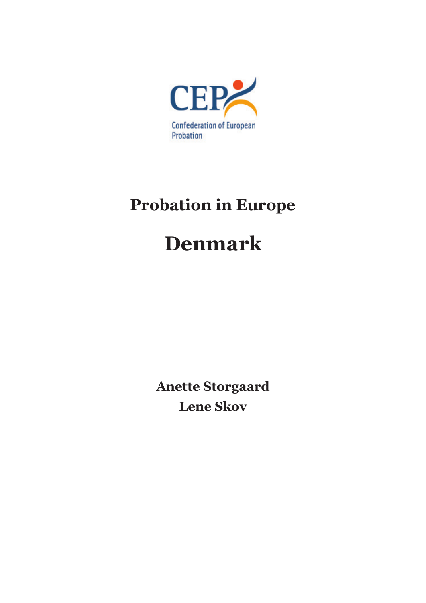

# **Probation in Europe**

# **Denmark**

**Anette Storgaard Lene Skov**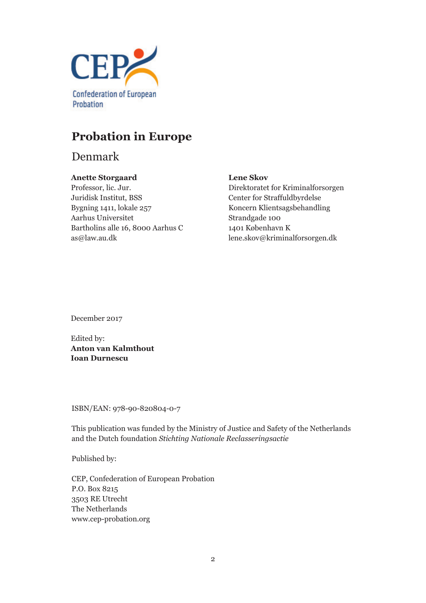

# **Probation in Europe**

Denmark

## **Anette Storgaard**

Professor, lic. Jur. Juridisk Institut, BSS Bygning 1411, lokale 257 Aarhus Universitet Bartholins alle 16, 8000 Aarhus C as@law.au.dk

## **Lene Skov**

Direktoratet for Kriminalforsorgen Center for Straffuldbyrdelse Koncern Klientsagsbehandling Strandgade 100 1401 København K lene.skov@kriminalforsorgen.dk

December 2017

Edited by: **Anton van Kalmthout Ioan Durnescu**

ISBN/EAN: 978-90-820804-0-7

This publication was funded by the Ministry of Justice and Safety of the Netherlands and the Dutch foundation *Stichting Nationale Reclasseringsactie*

Published by:

CEP, Confederation of European Probation P.O. Box 8215 3503 RE Utrecht The Netherlands www.cep-probation.org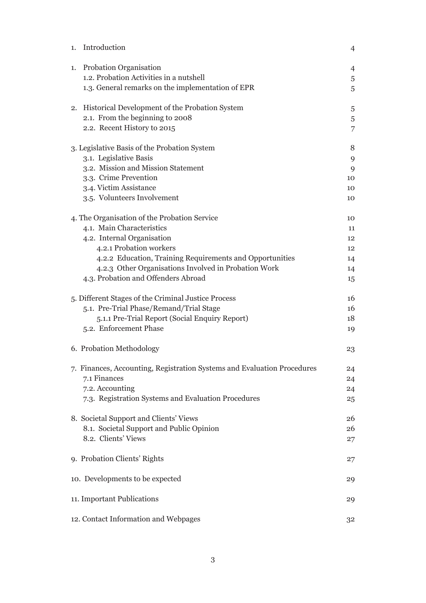| 1. | Introduction                                                            | $\overline{4}$ |
|----|-------------------------------------------------------------------------|----------------|
| 1. | Probation Organisation                                                  | $\overline{4}$ |
|    | 1.2. Probation Activities in a nutshell                                 | 5              |
|    | 1.3. General remarks on the implementation of EPR                       | 5              |
|    | 2. Historical Development of the Probation System                       | 5              |
|    | 2.1. From the beginning to 2008                                         | $\sqrt{5}$     |
|    | 2.2. Recent History to 2015                                             | 7              |
|    | 3. Legislative Basis of the Probation System                            | 8              |
|    | 3.1. Legislative Basis                                                  | 9              |
|    | 3.2. Mission and Mission Statement                                      | 9              |
|    | 3.3. Crime Prevention                                                   | 10             |
|    | 3.4. Victim Assistance                                                  | 10             |
|    | 3.5. Volunteers Involvement                                             | 10             |
|    | 4. The Organisation of the Probation Service                            | 10             |
|    | 4.1. Main Characteristics                                               | 11             |
|    | 4.2. Internal Organisation                                              | 12             |
|    | 4.2.1 Probation workers                                                 | 12             |
|    | 4.2.2 Education, Training Requirements and Opportunities                | 14             |
|    | 4.2.3 Other Organisations Involved in Probation Work                    | 14             |
|    | 4.3. Probation and Offenders Abroad                                     | 15             |
|    | 5. Different Stages of the Criminal Justice Process                     | 16             |
|    | 5.1. Pre-Trial Phase/Remand/Trial Stage                                 | 16             |
|    | 5.1.1 Pre-Trial Report (Social Enquiry Report)                          | 18             |
|    | 5.2. Enforcement Phase                                                  | 19             |
|    | 6. Probation Methodology                                                | 23             |
|    | 7. Finances, Accounting, Registration Systems and Evaluation Procedures | 24             |
|    | 7.1 Finances                                                            | 24             |
|    | 7.2. Accounting                                                         | 24             |
|    | 7.3. Registration Systems and Evaluation Procedures                     | 25             |
|    | 8. Societal Support and Clients' Views                                  | 26             |
|    | 8.1. Societal Support and Public Opinion                                | 26             |
|    | 8.2. Clients' Views                                                     | 27             |
|    | 9. Probation Clients' Rights                                            | 27             |
|    | 10. Developments to be expected                                         | 29             |
|    | 11. Important Publications                                              | 29             |
|    | 12. Contact Information and Webpages                                    | 32             |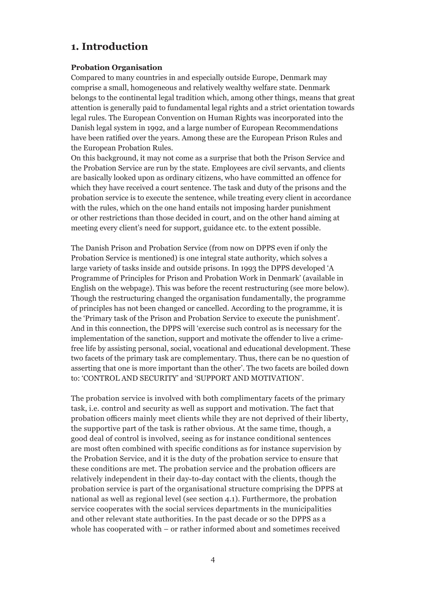# **1. Introduction**

#### **Probation Organisation**

Compared to many countries in and especially outside Europe, Denmark may comprise a small, homogeneous and relatively wealthy welfare state. Denmark belongs to the continental legal tradition which, among other things, means that great attention is generally paid to fundamental legal rights and a strict orientation towards legal rules. The European Convention on Human Rights was incorporated into the Danish legal system in 1992, and a large number of European Recommendations have been ratified over the years. Among these are the European Prison Rules and the European Probation Rules.

On this background, it may not come as a surprise that both the Prison Service and the Probation Service are run by the state. Employees are civil servants, and clients are basically looked upon as ordinary citizens, who have committed an offence for which they have received a court sentence. The task and duty of the prisons and the probation service is to execute the sentence, while treating every client in accordance with the rules, which on the one hand entails not imposing harder punishment or other restrictions than those decided in court, and on the other hand aiming at meeting every client's need for support, guidance etc. to the extent possible.

The Danish Prison and Probation Service (from now on DPPS even if only the Probation Service is mentioned) is one integral state authority, which solves a large variety of tasks inside and outside prisons. In 1993 the DPPS developed 'A Programme of Principles for Prison and Probation Work in Denmark' (available in English on the webpage). This was before the recent restructuring (see more below). Though the restructuring changed the organisation fundamentally, the programme of principles has not been changed or cancelled. According to the programme, it is the 'Primary task of the Prison and Probation Service to execute the punishment'. And in this connection, the DPPS will 'exercise such control as is necessary for the implementation of the sanction, support and motivate the offender to live a crimefree life by assisting personal, social, vocational and educational development. These two facets of the primary task are complementary. Thus, there can be no question of asserting that one is more important than the other'. The two facets are boiled down to: 'CONTROL AND SECURITY' and 'SUPPORT AND MOTIVATION'.

The probation service is involved with both complimentary facets of the primary task, i.e. control and security as well as support and motivation. The fact that probation officers mainly meet clients while they are not deprived of their liberty, the supportive part of the task is rather obvious. At the same time, though, a good deal of control is involved, seeing as for instance conditional sentences are most often combined with specific conditions as for instance supervision by the Probation Service, and it is the duty of the probation service to ensure that these conditions are met. The probation service and the probation officers are relatively independent in their day-to-day contact with the clients, though the probation service is part of the organisational structure comprising the DPPS at national as well as regional level (see section 4.1). Furthermore, the probation service cooperates with the social services departments in the municipalities and other relevant state authorities. In the past decade or so the DPPS as a whole has cooperated with – or rather informed about and sometimes received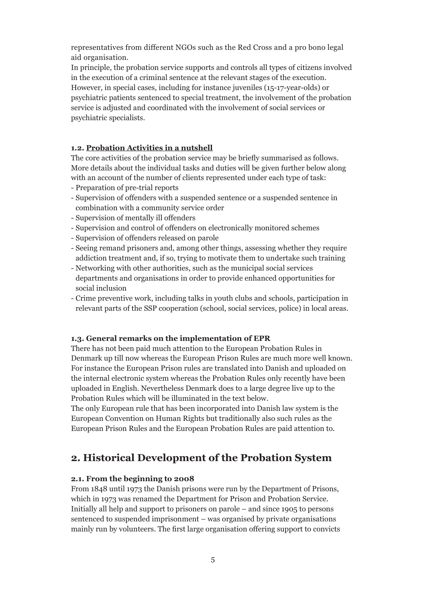representatives from different NGOs such as the Red Cross and a pro bono legal aid organisation.

In principle, the probation service supports and controls all types of citizens involved in the execution of a criminal sentence at the relevant stages of the execution. However, in special cases, including for instance juveniles (15-17-year-olds) or psychiatric patients sentenced to special treatment, the involvement of the probation service is adjusted and coordinated with the involvement of social services or psychiatric specialists.

#### **1.2. Probation Activities in a nutshell**

The core activities of the probation service may be briefly summarised as follows. More details about the individual tasks and duties will be given further below along with an account of the number of clients represented under each type of task:

- Preparation of pre-trial reports
- Supervision of offenders with a suspended sentence or a suspended sentence in combination with a community service order
- Supervision of mentally ill offenders
- Supervision and control of offenders on electronically monitored schemes
- Supervision of offenders released on parole
- Seeing remand prisoners and, among other things, assessing whether they require addiction treatment and, if so, trying to motivate them to undertake such training
- Networking with other authorities, such as the municipal social services departments and organisations in order to provide enhanced opportunities for social inclusion
- Crime preventive work, including talks in youth clubs and schools, participation in relevant parts of the SSP cooperation (school, social services, police) in local areas.

#### **1.3. General remarks on the implementation of EPR**

There has not been paid much attention to the European Probation Rules in Denmark up till now whereas the European Prison Rules are much more well known. For instance the European Prison rules are translated into Danish and uploaded on the internal electronic system whereas the Probation Rules only recently have been uploaded in English. Nevertheless Denmark does to a large degree live up to the Probation Rules which will be illuminated in the text below.

The only European rule that has been incorporated into Danish law system is the European Convention on Human Rights but traditionally also such rules as the European Prison Rules and the European Probation Rules are paid attention to.

## **2. Historical Development of the Probation System**

#### **2.1. From the beginning to 2008**

From 1848 until 1973 the Danish prisons were run by the Department of Prisons, which in 1973 was renamed the Department for Prison and Probation Service. Initially all help and support to prisoners on parole – and since 1905 to persons sentenced to suspended imprisonment – was organised by private organisations mainly run by volunteers. The first large organisation offering support to convicts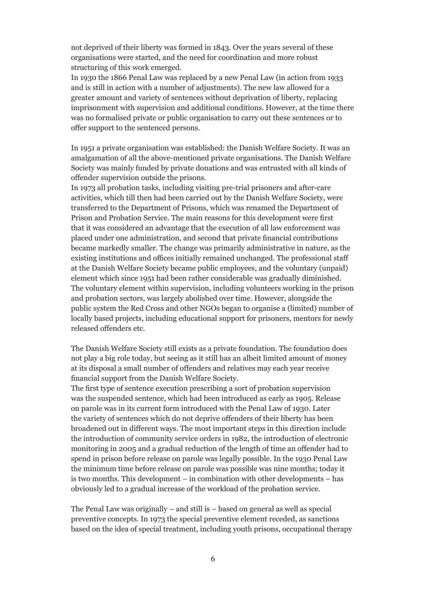not deprived of their liberty was formed in 1843. Over the years several of these organisations were started, and the need for coordination and more robust structuring of this work emerged.

In 1930 the 1866 Penal Law was replaced by a new Penal Law (in action from 1933 and is still in action with a number of adjustments). The new law allowed for a greater amount and variety of sentences without deprivation of liberty, replacing imprisonment with supervision and additional conditions. However, at the time there was no formalised private or public organisation to carry out these sentences or to offer support to the sentenced persons.

In 1951 a private organisation was established: the Danish Welfare Society. It was an amalgamation of all the above-mentioned private organisations. The Danish Welfare Society was mainly funded by private donations and was entrusted with all kinds of offender supervision outside the prisons.

In 1973 all probation tasks, including visiting pre-trial prisoners and after-care activities, which till then had been carried out by the Danish Welfare Society, were transferred to the Department of Prisons, which was renamed the Department of Prison and Probation Service. The main reasons for this development were first that it was considered an advantage that the execution of all law enforcement was placed under one administration, and second that private financial contributions became markedly smaller. The change was primarily administrative in nature, as the existing institutions and offices initially remained unchanged. The professional staff at the Danish Welfare Society became public employees, and the voluntary (unpaid) element which since 1951 had been rather considerable was gradually diminished. The voluntary element within supervision, including volunteers working in the prison and probation sectors, was largely abolished over time. However, alongside the public system the Red Cross and other NGOs began to organise a (limited) number of locally based projects, including educational support for prisoners, mentors for newly released offenders etc.

The Danish Welfare Society still exists as a private foundation. The foundation does not play a big role today, but seeing as it still has an albeit limited amount of money at its disposal a small number of offenders and relatives may each year receive financial support from the Danish Welfare Society.

The first type of sentence execution prescribing a sort of probation supervision was the suspended sentence, which had been introduced as early as 1905. Release on parole was in its current form introduced with the Penal Law of 1930. Later the variety of sentences which do not deprive offenders of their liberty has been broadened out in different ways. The most important steps in this direction include the introduction of community service orders in 1982, the introduction of electronic monitoring in 2005 and a gradual reduction of the length of time an offender had to spend in prison before release on parole was legally possible. In the 1930 Penal Law the minimum time before release on parole was possible was nine months; today it is two months. This development – in combination with other developments – has obviously led to a gradual increase of the workload of the probation service.

The Penal Law was originally – and still is – based on general as well as special preventive concepts. In 1973 the special preventive element receded, as sanctions based on the idea of special treatment, including youth prisons, occupational therapy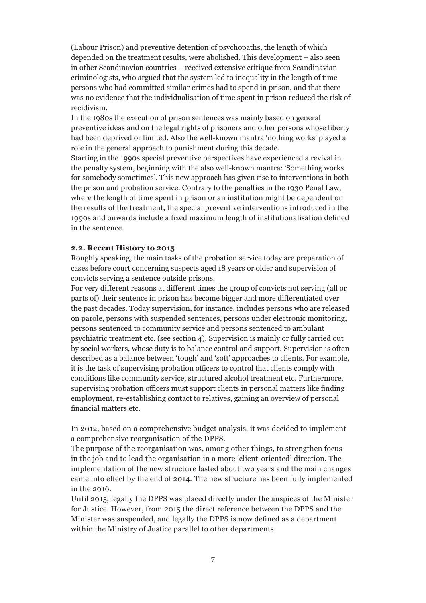(Labour Prison) and preventive detention of psychopaths, the length of which depended on the treatment results, were abolished. This development – also seen in other Scandinavian countries – received extensive critique from Scandinavian criminologists, who argued that the system led to inequality in the length of time persons who had committed similar crimes had to spend in prison, and that there was no evidence that the individualisation of time spent in prison reduced the risk of recidivism.

In the 1980s the execution of prison sentences was mainly based on general preventive ideas and on the legal rights of prisoners and other persons whose liberty had been deprived or limited. Also the well-known mantra 'nothing works' played a role in the general approach to punishment during this decade.

Starting in the 1990s special preventive perspectives have experienced a revival in the penalty system, beginning with the also well-known mantra: 'Something works for somebody sometimes'. This new approach has given rise to interventions in both the prison and probation service. Contrary to the penalties in the 1930 Penal Law, where the length of time spent in prison or an institution might be dependent on the results of the treatment, the special preventive interventions introduced in the 1990s and onwards include a fixed maximum length of institutionalisation defined in the sentence.

#### **2.2. Recent History to 2015**

Roughly speaking, the main tasks of the probation service today are preparation of cases before court concerning suspects aged 18 years or older and supervision of convicts serving a sentence outside prisons.

For very different reasons at different times the group of convicts not serving (all or parts of) their sentence in prison has become bigger and more differentiated over the past decades. Today supervision, for instance, includes persons who are released on parole, persons with suspended sentences, persons under electronic monitoring, persons sentenced to community service and persons sentenced to ambulant psychiatric treatment etc. (see section 4). Supervision is mainly or fully carried out by social workers, whose duty is to balance control and support. Supervision is often described as a balance between 'tough' and 'soft' approaches to clients. For example, it is the task of supervising probation officers to control that clients comply with conditions like community service, structured alcohol treatment etc. Furthermore, supervising probation officers must support clients in personal matters like finding employment, re-establishing contact to relatives, gaining an overview of personal financial matters etc.

In 2012, based on a comprehensive budget analysis, it was decided to implement a comprehensive reorganisation of the DPPS.

The purpose of the reorganisation was, among other things, to strengthen focus in the job and to lead the organisation in a more 'client-oriented' direction. The implementation of the new structure lasted about two years and the main changes came into effect by the end of 2014. The new structure has been fully implemented in the 2016.

Until 2015, legally the DPPS was placed directly under the auspices of the Minister for Justice. However, from 2015 the direct reference between the DPPS and the Minister was suspended, and legally the DPPS is now defined as a department within the Ministry of Justice parallel to other departments.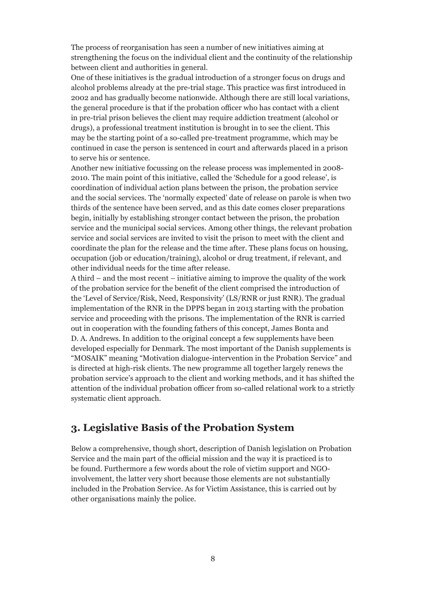The process of reorganisation has seen a number of new initiatives aiming at strengthening the focus on the individual client and the continuity of the relationship between client and authorities in general.

One of these initiatives is the gradual introduction of a stronger focus on drugs and alcohol problems already at the pre-trial stage. This practice was first introduced in 2002 and has gradually become nationwide. Although there are still local variations, the general procedure is that if the probation officer who has contact with a client in pre-trial prison believes the client may require addiction treatment (alcohol or drugs), a professional treatment institution is brought in to see the client. This may be the starting point of a so-called pre-treatment programme, which may be continued in case the person is sentenced in court and afterwards placed in a prison to serve his or sentence.

Another new initiative focussing on the release process was implemented in 2008- 2010. The main point of this initiative, called the 'Schedule for a good release', is coordination of individual action plans between the prison, the probation service and the social services. The 'normally expected' date of release on parole is when two thirds of the sentence have been served, and as this date comes closer preparations begin, initially by establishing stronger contact between the prison, the probation service and the municipal social services. Among other things, the relevant probation service and social services are invited to visit the prison to meet with the client and coordinate the plan for the release and the time after. These plans focus on housing, occupation (job or education/training), alcohol or drug treatment, if relevant, and other individual needs for the time after release.

A third – and the most recent – initiative aiming to improve the quality of the work of the probation service for the benefit of the client comprised the introduction of the 'Level of Service/Risk, Need, Responsivity' (LS/RNR or just RNR). The gradual implementation of the RNR in the DPPS began in 2013 starting with the probation service and proceeding with the prisons. The implementation of the RNR is carried out in cooperation with the founding fathers of this concept, James Bonta and D. A. Andrews. In addition to the original concept a few supplements have been developed especially for Denmark. The most important of the Danish supplements is "MOSAIK" meaning "Motivation dialogue-intervention in the Probation Service" and is directed at high-risk clients. The new programme all together largely renews the probation service's approach to the client and working methods, and it has shifted the attention of the individual probation officer from so-called relational work to a strictly systematic client approach.

# **3. Legislative Basis of the Probation System**

Below a comprehensive, though short, description of Danish legislation on Probation Service and the main part of the official mission and the way it is practiced is to be found. Furthermore a few words about the role of victim support and NGOinvolvement, the latter very short because those elements are not substantially included in the Probation Service. As for Victim Assistance, this is carried out by other organisations mainly the police.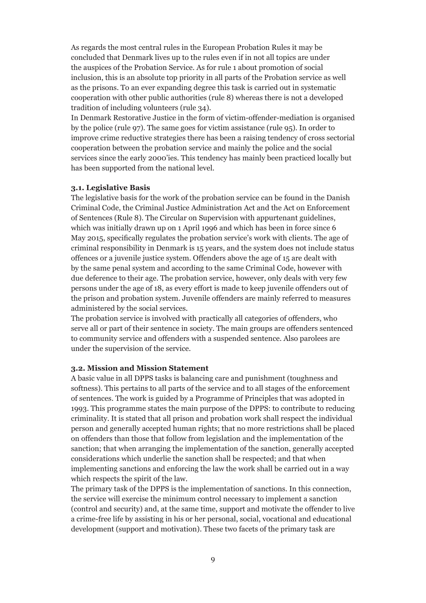As regards the most central rules in the European Probation Rules it may be concluded that Denmark lives up to the rules even if in not all topics are under the auspices of the Probation Service. As for rule 1 about promotion of social inclusion, this is an absolute top priority in all parts of the Probation service as well as the prisons. To an ever expanding degree this task is carried out in systematic cooperation with other public authorities (rule 8) whereas there is not a developed tradition of including volunteers (rule 34).

In Denmark Restorative Justice in the form of victim-offender-mediation is organised by the police (rule 97). The same goes for victim assistance (rule 95). In order to improve crime reductive strategies there has been a raising tendency of cross sectorial cooperation between the probation service and mainly the police and the social services since the early 2000'ies. This tendency has mainly been practiced locally but has been supported from the national level.

#### **3.1. Legislative Basis**

The legislative basis for the work of the probation service can be found in the Danish Criminal Code, the Criminal Justice Administration Act and the Act on Enforcement of Sentences (Rule 8). The Circular on Supervision with appurtenant guidelines, which was initially drawn up on 1 April 1996 and which has been in force since 6 May 2015, specifically regulates the probation service's work with clients. The age of criminal responsibility in Denmark is 15 years, and the system does not include status offences or a juvenile justice system. Offenders above the age of 15 are dealt with by the same penal system and according to the same Criminal Code, however with due deference to their age. The probation service, however, only deals with very few persons under the age of 18, as every effort is made to keep juvenile offenders out of the prison and probation system. Juvenile offenders are mainly referred to measures administered by the social services.

The probation service is involved with practically all categories of offenders, who serve all or part of their sentence in society. The main groups are offenders sentenced to community service and offenders with a suspended sentence. Also parolees are under the supervision of the service.

#### **3.2. Mission and Mission Statement**

A basic value in all DPPS tasks is balancing care and punishment (toughness and softness). This pertains to all parts of the service and to all stages of the enforcement of sentences. The work is guided by a Programme of Principles that was adopted in 1993. This programme states the main purpose of the DPPS: to contribute to reducing criminality. It is stated that all prison and probation work shall respect the individual person and generally accepted human rights; that no more restrictions shall be placed on offenders than those that follow from legislation and the implementation of the sanction; that when arranging the implementation of the sanction, generally accepted considerations which underlie the sanction shall be respected; and that when implementing sanctions and enforcing the law the work shall be carried out in a way which respects the spirit of the law.

The primary task of the DPPS is the implementation of sanctions. In this connection, the service will exercise the minimum control necessary to implement a sanction (control and security) and, at the same time, support and motivate the offender to live a crime-free life by assisting in his or her personal, social, vocational and educational development (support and motivation). These two facets of the primary task are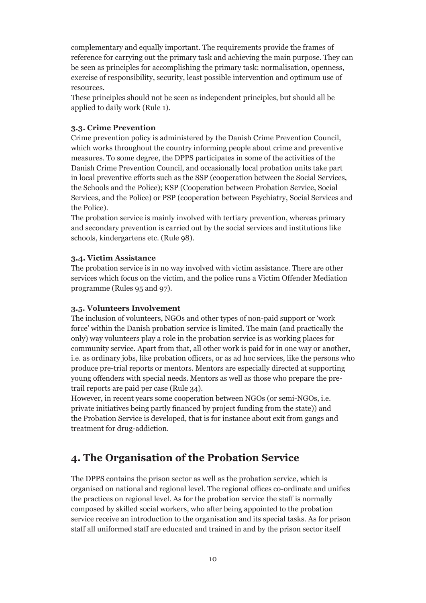complementary and equally important. The requirements provide the frames of reference for carrying out the primary task and achieving the main purpose. They can be seen as principles for accomplishing the primary task: normalisation, openness, exercise of responsibility, security, least possible intervention and optimum use of resources.

These principles should not be seen as independent principles, but should all be applied to daily work (Rule 1).

#### **3.3. Crime Prevention**

Crime prevention policy is administered by the Danish Crime Prevention Council, which works throughout the country informing people about crime and preventive measures. To some degree, the DPPS participates in some of the activities of the Danish Crime Prevention Council, and occasionally local probation units take part in local preventive efforts such as the SSP (cooperation between the Social Services, the Schools and the Police); KSP (Cooperation between Probation Service, Social Services, and the Police) or PSP (cooperation between Psychiatry, Social Services and the Police).

The probation service is mainly involved with tertiary prevention, whereas primary and secondary prevention is carried out by the social services and institutions like schools, kindergartens etc. (Rule 98).

#### **3.4. Victim Assistance**

The probation service is in no way involved with victim assistance. There are other services which focus on the victim, and the police runs a Victim Offender Mediation programme (Rules 95 and 97).

#### **3.5. Volunteers Involvement**

The inclusion of volunteers, NGOs and other types of non-paid support or 'work force' within the Danish probation service is limited. The main (and practically the only) way volunteers play a role in the probation service is as working places for community service. Apart from that, all other work is paid for in one way or another, i.e. as ordinary jobs, like probation officers, or as ad hoc services, like the persons who produce pre-trial reports or mentors. Mentors are especially directed at supporting young offenders with special needs. Mentors as well as those who prepare the pretrail reports are paid per case (Rule 34).

However, in recent years some cooperation between NGOs (or semi-NGOs, i.e. private initiatives being partly financed by project funding from the state)) and the Probation Service is developed, that is for instance about exit from gangs and treatment for drug-addiction.

# **4. The Organisation of the Probation Service**

The DPPS contains the prison sector as well as the probation service, which is organised on national and regional level. The regional offices co-ordinate and unifies the practices on regional level. As for the probation service the staff is normally composed by skilled social workers, who after being appointed to the probation service receive an introduction to the organisation and its special tasks. As for prison staff all uniformed staff are educated and trained in and by the prison sector itself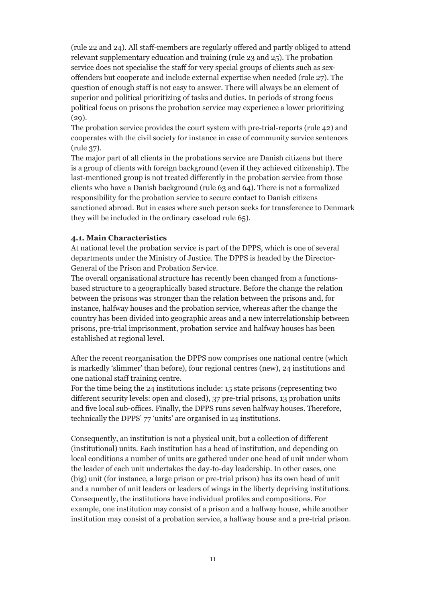(rule 22 and 24). All staff-members are regularly offered and partly obliged to attend relevant supplementary education and training (rule 23 and 25). The probation service does not specialise the staff for very special groups of clients such as sexoffenders but cooperate and include external expertise when needed (rule 27). The question of enough staff is not easy to answer. There will always be an element of superior and political prioritizing of tasks and duties. In periods of strong focus political focus on prisons the probation service may experience a lower prioritizing (29).

The probation service provides the court system with pre-trial-reports (rule 42) and cooperates with the civil society for instance in case of community service sentences (rule 37).

The major part of all clients in the probations service are Danish citizens but there is a group of clients with foreign background (even if they achieved citizenship). The last-mentioned group is not treated differently in the probation service from those clients who have a Danish background (rule 63 and 64). There is not a formalized responsibility for the probation service to secure contact to Danish citizens sanctioned abroad. But in cases where such person seeks for transference to Denmark they will be included in the ordinary caseload rule 65).

#### **4.1. Main Characteristics**

At national level the probation service is part of the DPPS, which is one of several departments under the Ministry of Justice. The DPPS is headed by the Director-General of the Prison and Probation Service.

The overall organisational structure has recently been changed from a functionsbased structure to a geographically based structure. Before the change the relation between the prisons was stronger than the relation between the prisons and, for instance, halfway houses and the probation service, whereas after the change the country has been divided into geographic areas and a new interrelationship between prisons, pre-trial imprisonment, probation service and halfway houses has been established at regional level.

After the recent reorganisation the DPPS now comprises one national centre (which is markedly 'slimmer' than before), four regional centres (new), 24 institutions and one national staff training centre.

For the time being the 24 institutions include: 15 state prisons (representing two different security levels: open and closed), 37 pre-trial prisons, 13 probation units and five local sub-offices. Finally, the DPPS runs seven halfway houses. Therefore, technically the DPPS' 77 'units' are organised in 24 institutions.

Consequently, an institution is not a physical unit, but a collection of different (institutional) units. Each institution has a head of institution, and depending on local conditions a number of units are gathered under one head of unit under whom the leader of each unit undertakes the day-to-day leadership. In other cases, one (big) unit (for instance, a large prison or pre-trial prison) has its own head of unit and a number of unit leaders or leaders of wings in the liberty depriving institutions. Consequently, the institutions have individual profiles and compositions. For example, one institution may consist of a prison and a halfway house, while another institution may consist of a probation service, a halfway house and a pre-trial prison.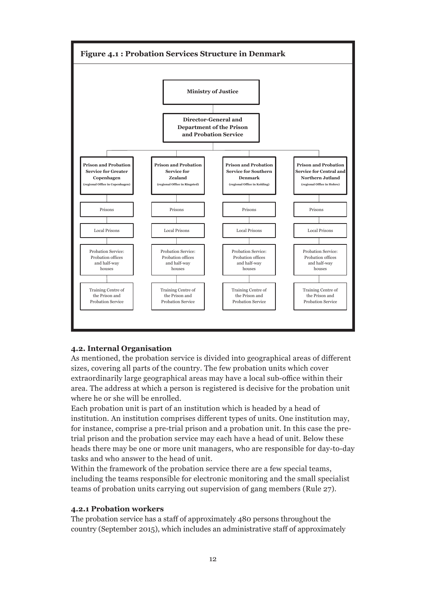

#### **4.2. Internal Organisation**

As mentioned, the probation service is divided into geographical areas of different sizes, covering all parts of the country. The few probation units which cover extraordinarily large geographical areas may have a local sub-office within their area. The address at which a person is registered is decisive for the probation unit where he or she will be enrolled.

Each probation unit is part of an institution which is headed by a head of institution. An institution comprises different types of units. One institution may, for instance, comprise a pre-trial prison and a probation unit. In this case the pretrial prison and the probation service may each have a head of unit. Below these heads there may be one or more unit managers, who are responsible for day-to-day tasks and who answer to the head of unit.

Within the framework of the probation service there are a few special teams, including the teams responsible for electronic monitoring and the small specialist teams of probation units carrying out supervision of gang members (Rule 27).

#### **4.2.1 Probation workers**

The probation service has a staff of approximately 480 persons throughout the country (September 2015), which includes an administrative staff of approximately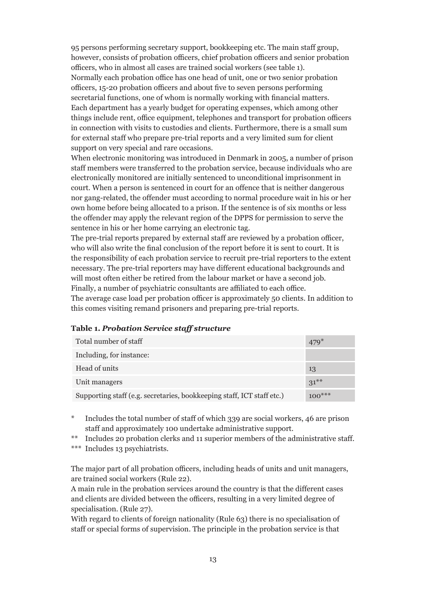95 persons performing secretary support, bookkeeping etc. The main staff group, however, consists of probation officers, chief probation officers and senior probation officers, who in almost all cases are trained social workers (see table 1). Normally each probation office has one head of unit, one or two senior probation officers, 15-20 probation officers and about five to seven persons performing secretarial functions, one of whom is normally working with financial matters. Each department has a yearly budget for operating expenses, which among other things include rent, office equipment, telephones and transport for probation officers in connection with visits to custodies and clients. Furthermore, there is a small sum for external staff who prepare pre-trial reports and a very limited sum for client support on very special and rare occasions.

When electronic monitoring was introduced in Denmark in 2005, a number of prison staff members were transferred to the probation service, because individuals who are electronically monitored are initially sentenced to unconditional imprisonment in court. When a person is sentenced in court for an offence that is neither dangerous nor gang-related, the offender must according to normal procedure wait in his or her own home before being allocated to a prison. If the sentence is of six months or less the offender may apply the relevant region of the DPPS for permission to serve the sentence in his or her home carrying an electronic tag.

The pre-trial reports prepared by external staff are reviewed by a probation officer, who will also write the final conclusion of the report before it is sent to court. It is the responsibility of each probation service to recruit pre-trial reporters to the extent necessary. The pre-trial reporters may have different educational backgrounds and will most often either be retired from the labour market or have a second job. Finally, a number of psychiatric consultants are affiliated to each office.

The average case load per probation officer is approximately 50 clients. In addition to this comes visiting remand prisoners and preparing pre-trial reports.

| Total number of staff                                                  | 479      |
|------------------------------------------------------------------------|----------|
| Including, for instance:                                               |          |
| Head of units                                                          | 13       |
| Unit managers                                                          | $31***$  |
| Supporting staff (e.g. secretaries, bookkeeping staff, ICT staff etc.) | $100***$ |

#### **Table 1.** *Probation Service staff structure*

\* Includes the total number of staff of which 339 are social workers, 46 are prison staff and approximately 100 undertake administrative support.

Includes 20 probation clerks and 11 superior members of the administrative staff.

The major part of all probation officers, including heads of units and unit managers, are trained social workers (Rule 22).

A main rule in the probation services around the country is that the different cases and clients are divided between the officers, resulting in a very limited degree of specialisation. (Rule 27).

With regard to clients of foreign nationality (Rule 63) there is no specialisation of staff or special forms of supervision. The principle in the probation service is that

<sup>\*\*\*</sup> Includes 13 psychiatrists.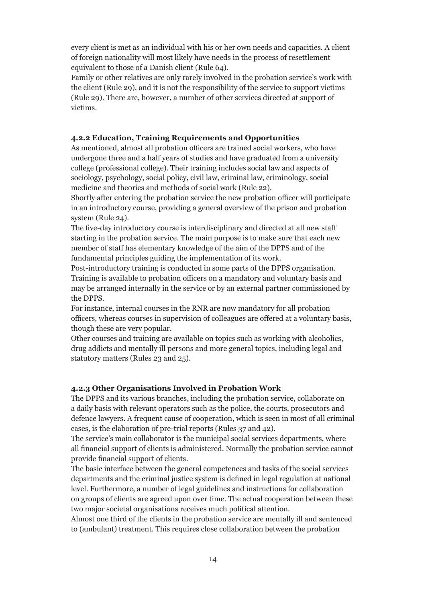every client is met as an individual with his or her own needs and capacities. A client of foreign nationality will most likely have needs in the process of resettlement equivalent to those of a Danish client (Rule 64).

Family or other relatives are only rarely involved in the probation service's work with the client (Rule 29), and it is not the responsibility of the service to support victims (Rule 29). There are, however, a number of other services directed at support of victims.

#### **4.2.2 Education, Training Requirements and Opportunities**

As mentioned, almost all probation officers are trained social workers, who have undergone three and a half years of studies and have graduated from a university college (professional college). Their training includes social law and aspects of sociology, psychology, social policy, civil law, criminal law, criminology, social medicine and theories and methods of social work (Rule 22).

Shortly after entering the probation service the new probation officer will participate in an introductory course, providing a general overview of the prison and probation system (Rule 24).

The five-day introductory course is interdisciplinary and directed at all new staff starting in the probation service. The main purpose is to make sure that each new member of staff has elementary knowledge of the aim of the DPPS and of the fundamental principles guiding the implementation of its work.

Post-introductory training is conducted in some parts of the DPPS organisation. Training is available to probation officers on a mandatory and voluntary basis and may be arranged internally in the service or by an external partner commissioned by the DPPS.

For instance, internal courses in the RNR are now mandatory for all probation officers, whereas courses in supervision of colleagues are offered at a voluntary basis, though these are very popular.

Other courses and training are available on topics such as working with alcoholics, drug addicts and mentally ill persons and more general topics, including legal and statutory matters (Rules 23 and 25).

## **4.2.3 Other Organisations Involved in Probation Work**

The DPPS and its various branches, including the probation service, collaborate on a daily basis with relevant operators such as the police, the courts, prosecutors and defence lawyers. A frequent cause of cooperation, which is seen in most of all criminal cases, is the elaboration of pre-trial reports (Rules 37 and 42).

The service's main collaborator is the municipal social services departments, where all financial support of clients is administered. Normally the probation service cannot provide financial support of clients.

The basic interface between the general competences and tasks of the social services departments and the criminal justice system is defined in legal regulation at national level. Furthermore, a number of legal guidelines and instructions for collaboration on groups of clients are agreed upon over time. The actual cooperation between these two major societal organisations receives much political attention.

Almost one third of the clients in the probation service are mentally ill and sentenced to (ambulant) treatment. This requires close collaboration between the probation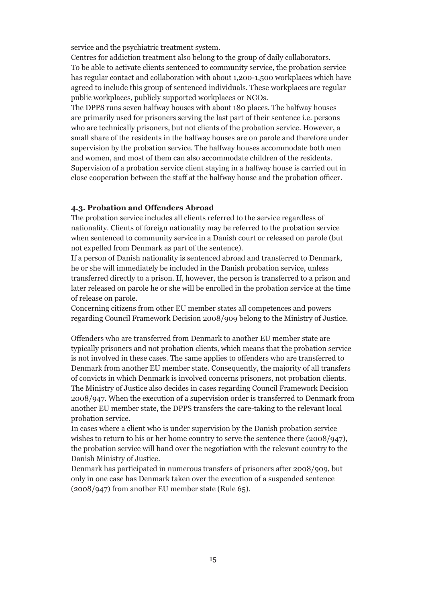service and the psychiatric treatment system.

Centres for addiction treatment also belong to the group of daily collaborators. To be able to activate clients sentenced to community service, the probation service has regular contact and collaboration with about 1,200-1,500 workplaces which have agreed to include this group of sentenced individuals. These workplaces are regular public workplaces, publicly supported workplaces or NGOs.

The DPPS runs seven halfway houses with about 180 places. The halfway houses are primarily used for prisoners serving the last part of their sentence i.e. persons who are technically prisoners, but not clients of the probation service. However, a small share of the residents in the halfway houses are on parole and therefore under supervision by the probation service. The halfway houses accommodate both men and women, and most of them can also accommodate children of the residents. Supervision of a probation service client staying in a halfway house is carried out in close cooperation between the staff at the halfway house and the probation officer.

#### **4.3. Probation and Offenders Abroad**

The probation service includes all clients referred to the service regardless of nationality. Clients of foreign nationality may be referred to the probation service when sentenced to community service in a Danish court or released on parole (but not expelled from Denmark as part of the sentence).

If a person of Danish nationality is sentenced abroad and transferred to Denmark, he or she will immediately be included in the Danish probation service, unless transferred directly to a prison. If, however, the person is transferred to a prison and later released on parole he or she will be enrolled in the probation service at the time of release on parole.

Concerning citizens from other EU member states all competences and powers regarding Council Framework Decision 2008/909 belong to the Ministry of Justice.

Offenders who are transferred from Denmark to another EU member state are typically prisoners and not probation clients, which means that the probation service is not involved in these cases. The same applies to offenders who are transferred to Denmark from another EU member state. Consequently, the majority of all transfers of convicts in which Denmark is involved concerns prisoners, not probation clients. The Ministry of Justice also decides in cases regarding Council Framework Decision 2008/947. When the execution of a supervision order is transferred to Denmark from another EU member state, the DPPS transfers the care-taking to the relevant local probation service.

In cases where a client who is under supervision by the Danish probation service wishes to return to his or her home country to serve the sentence there (2008/947), the probation service will hand over the negotiation with the relevant country to the Danish Ministry of Justice.

Denmark has participated in numerous transfers of prisoners after 2008/909, but only in one case has Denmark taken over the execution of a suspended sentence (2008/947) from another EU member state (Rule 65).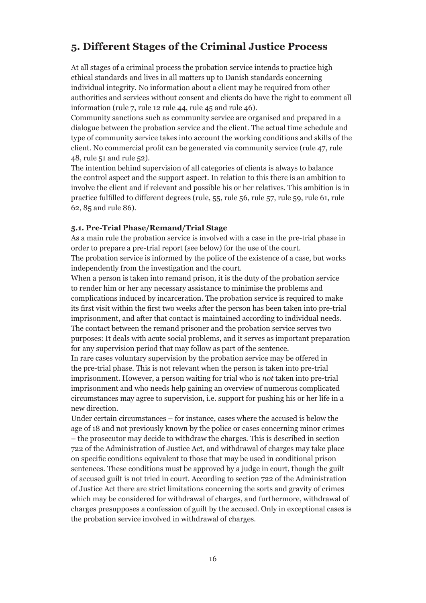# **5. Different Stages of the Criminal Justice Process**

At all stages of a criminal process the probation service intends to practice high ethical standards and lives in all matters up to Danish standards concerning individual integrity. No information about a client may be required from other authorities and services without consent and clients do have the right to comment all information (rule 7, rule 12 rule 44, rule 45 and rule 46).

Community sanctions such as community service are organised and prepared in a dialogue between the probation service and the client. The actual time schedule and type of community service takes into account the working conditions and skills of the client. No commercial profit can be generated via community service (rule 47, rule 48, rule 51 and rule 52).

The intention behind supervision of all categories of clients is always to balance the control aspect and the support aspect. In relation to this there is an ambition to involve the client and if relevant and possible his or her relatives. This ambition is in practice fulfilled to different degrees (rule, 55, rule 56, rule 57, rule 59, rule 61, rule 62, 85 and rule 86).

#### **5.1. Pre-Trial Phase/Remand/Trial Stage**

As a main rule the probation service is involved with a case in the pre-trial phase in order to prepare a pre-trial report (see below) for the use of the court.

The probation service is informed by the police of the existence of a case, but works independently from the investigation and the court.

When a person is taken into remand prison, it is the duty of the probation service to render him or her any necessary assistance to minimise the problems and complications induced by incarceration. The probation service is required to make its first visit within the first two weeks after the person has been taken into pre-trial imprisonment, and after that contact is maintained according to individual needs. The contact between the remand prisoner and the probation service serves two purposes: It deals with acute social problems, and it serves as important preparation for any supervision period that may follow as part of the sentence.

In rare cases voluntary supervision by the probation service may be offered in the pre-trial phase. This is not relevant when the person is taken into pre-trial imprisonment. However, a person waiting for trial who is *not* taken into pre-trial imprisonment and who needs help gaining an overview of numerous complicated circumstances may agree to supervision, i.e. support for pushing his or her life in a new direction.

Under certain circumstances – for instance, cases where the accused is below the age of 18 and not previously known by the police or cases concerning minor crimes – the prosecutor may decide to withdraw the charges. This is described in section 722 of the Administration of Justice Act, and withdrawal of charges may take place on specific conditions equivalent to those that may be used in conditional prison sentences. These conditions must be approved by a judge in court, though the guilt of accused guilt is not tried in court. According to section 722 of the Administration of Justice Act there are strict limitations concerning the sorts and gravity of crimes which may be considered for withdrawal of charges, and furthermore, withdrawal of charges presupposes a confession of guilt by the accused. Only in exceptional cases is the probation service involved in withdrawal of charges.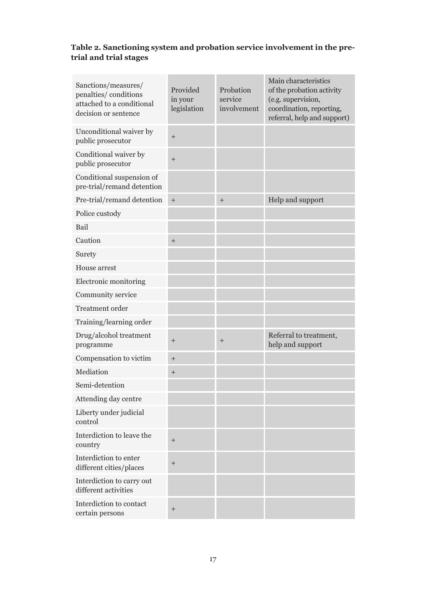# **Table 2. Sanctioning system and probation service involvement in the pretrial and trial stages**

| Sanctions/measures/<br>penalties/conditions<br>attached to a conditional<br>decision or sentence | Provided<br>in your<br>legislation | Probation<br>service<br>involvement | Main characteristics<br>of the probation activity<br>(e.g. supervision,<br>coordination, reporting,<br>referral, help and support) |
|--------------------------------------------------------------------------------------------------|------------------------------------|-------------------------------------|------------------------------------------------------------------------------------------------------------------------------------|
| Unconditional waiver by<br>public prosecutor                                                     | $\ddot{}$                          |                                     |                                                                                                                                    |
| Conditional waiver by<br>public prosecutor                                                       | $^{+}$                             |                                     |                                                                                                                                    |
| Conditional suspension of<br>pre-trial/remand detention                                          |                                    |                                     |                                                                                                                                    |
| Pre-trial/remand detention                                                                       | $\ddot{}$                          | $^{+}$                              | Help and support                                                                                                                   |
| Police custody                                                                                   |                                    |                                     |                                                                                                                                    |
| Bail                                                                                             |                                    |                                     |                                                                                                                                    |
| Caution                                                                                          | $^{+}$                             |                                     |                                                                                                                                    |
| Surety                                                                                           |                                    |                                     |                                                                                                                                    |
| House arrest                                                                                     |                                    |                                     |                                                                                                                                    |
| Electronic monitoring                                                                            |                                    |                                     |                                                                                                                                    |
| Community service                                                                                |                                    |                                     |                                                                                                                                    |
| <b>Treatment</b> order                                                                           |                                    |                                     |                                                                                                                                    |
| Training/learning order                                                                          |                                    |                                     |                                                                                                                                    |
| Drug/alcohol treatment<br>programme                                                              | $\ddot{}$                          | $^{+}$                              | Referral to treatment,<br>help and support                                                                                         |
| Compensation to victim                                                                           | $^{+}$                             |                                     |                                                                                                                                    |
| Mediation                                                                                        | $^{+}$                             |                                     |                                                                                                                                    |
| Semi-detention                                                                                   |                                    |                                     |                                                                                                                                    |
| Attending day centre                                                                             |                                    |                                     |                                                                                                                                    |
| Liberty under judicial<br>control                                                                |                                    |                                     |                                                                                                                                    |
| Interdiction to leave the<br>country                                                             | $^{+}$                             |                                     |                                                                                                                                    |
| Interdiction to enter<br>different cities/places                                                 | $\ddot{}$                          |                                     |                                                                                                                                    |
| Interdiction to carry out<br>different activities                                                |                                    |                                     |                                                                                                                                    |
| Interdiction to contact<br>certain persons                                                       | $\ddot{}$                          |                                     |                                                                                                                                    |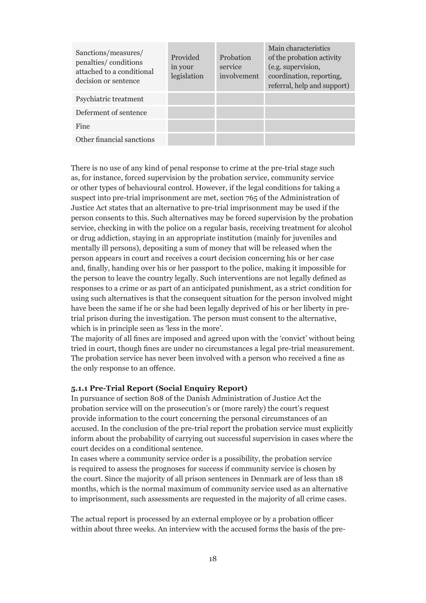| Sanctions/measures/<br>penalties/conditions<br>attached to a conditional<br>decision or sentence | Provided<br>in your<br>legislation | Probation<br>service<br>involvement | Main characteristics<br>of the probation activity<br>(e.g. supervision,<br>coordination, reporting,<br>referral, help and support) |
|--------------------------------------------------------------------------------------------------|------------------------------------|-------------------------------------|------------------------------------------------------------------------------------------------------------------------------------|
| Psychiatric treatment                                                                            |                                    |                                     |                                                                                                                                    |
| Deferment of sentence                                                                            |                                    |                                     |                                                                                                                                    |
| Fine                                                                                             |                                    |                                     |                                                                                                                                    |
| Other financial sanctions                                                                        |                                    |                                     |                                                                                                                                    |

There is no use of any kind of penal response to crime at the pre-trial stage such as, for instance, forced supervision by the probation service, community service or other types of behavioural control. However, if the legal conditions for taking a suspect into pre-trial imprisonment are met, section 765 of the Administration of Justice Act states that an alternative to pre-trial imprisonment may be used if the person consents to this. Such alternatives may be forced supervision by the probation service, checking in with the police on a regular basis, receiving treatment for alcohol or drug addiction, staying in an appropriate institution (mainly for juveniles and mentally ill persons), depositing a sum of money that will be released when the person appears in court and receives a court decision concerning his or her case and, finally, handing over his or her passport to the police, making it impossible for the person to leave the country legally. Such interventions are not legally defined as responses to a crime or as part of an anticipated punishment, as a strict condition for using such alternatives is that the consequent situation for the person involved might have been the same if he or she had been legally deprived of his or her liberty in pretrial prison during the investigation. The person must consent to the alternative, which is in principle seen as 'less in the more'.

The majority of all fines are imposed and agreed upon with the 'convict' without being tried in court, though fines are under no circumstances a legal pre-trial measurement. The probation service has never been involved with a person who received a fine as the only response to an offence.

#### **5.1.1 Pre-Trial Report (Social Enquiry Report)**

In pursuance of section 808 of the Danish Administration of Justice Act the probation service will on the prosecution's or (more rarely) the court's request provide information to the court concerning the personal circumstances of an accused. In the conclusion of the pre-trial report the probation service must explicitly inform about the probability of carrying out successful supervision in cases where the court decides on a conditional sentence.

In cases where a community service order is a possibility, the probation service is required to assess the prognoses for success if community service is chosen by the court. Since the majority of all prison sentences in Denmark are of less than 18 months, which is the normal maximum of community service used as an alternative to imprisonment, such assessments are requested in the majority of all crime cases.

The actual report is processed by an external employee or by a probation officer within about three weeks. An interview with the accused forms the basis of the pre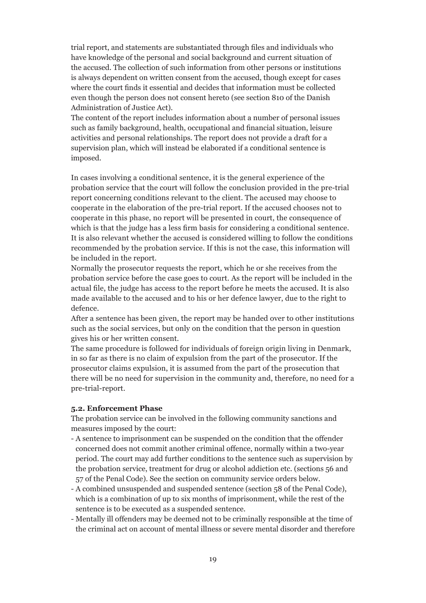trial report, and statements are substantiated through files and individuals who have knowledge of the personal and social background and current situation of the accused. The collection of such information from other persons or institutions is always dependent on written consent from the accused, though except for cases where the court finds it essential and decides that information must be collected even though the person does not consent hereto (see section 810 of the Danish Administration of Justice Act).

The content of the report includes information about a number of personal issues such as family background, health, occupational and financial situation, leisure activities and personal relationships. The report does not provide a draft for a supervision plan, which will instead be elaborated if a conditional sentence is imposed.

In cases involving a conditional sentence, it is the general experience of the probation service that the court will follow the conclusion provided in the pre-trial report concerning conditions relevant to the client. The accused may choose to cooperate in the elaboration of the pre-trial report. If the accused chooses not to cooperate in this phase, no report will be presented in court, the consequence of which is that the judge has a less firm basis for considering a conditional sentence. It is also relevant whether the accused is considered willing to follow the conditions recommended by the probation service. If this is not the case, this information will be included in the report.

Normally the prosecutor requests the report, which he or she receives from the probation service before the case goes to court. As the report will be included in the actual file, the judge has access to the report before he meets the accused. It is also made available to the accused and to his or her defence lawyer, due to the right to defence.

After a sentence has been given, the report may be handed over to other institutions such as the social services, but only on the condition that the person in question gives his or her written consent.

The same procedure is followed for individuals of foreign origin living in Denmark, in so far as there is no claim of expulsion from the part of the prosecutor. If the prosecutor claims expulsion, it is assumed from the part of the prosecution that there will be no need for supervision in the community and, therefore, no need for a pre-trial-report.

#### **5.2. Enforcement Phase**

The probation service can be involved in the following community sanctions and measures imposed by the court:

- A sentence to imprisonment can be suspended on the condition that the offender concerned does not commit another criminal offence, normally within a two-year period. The court may add further conditions to the sentence such as supervision by the probation service, treatment for drug or alcohol addiction etc. (sections 56 and 57 of the Penal Code). See the section on community service orders below.
- A combined unsuspended and suspended sentence (section 58 of the Penal Code), which is a combination of up to six months of imprisonment, while the rest of the sentence is to be executed as a suspended sentence.
- Mentally ill offenders may be deemed not to be criminally responsible at the time of the criminal act on account of mental illness or severe mental disorder and therefore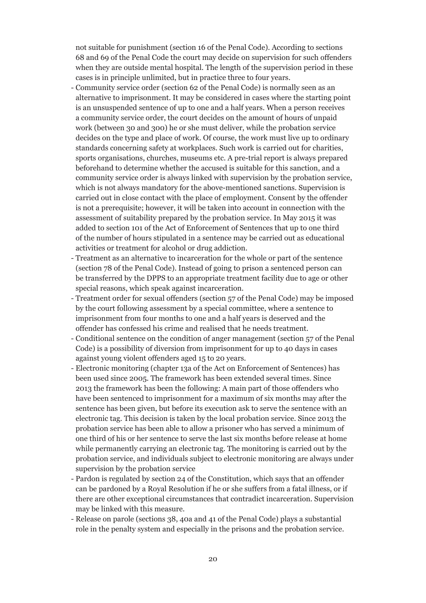not suitable for punishment (section 16 of the Penal Code). According to sections 68 and 69 of the Penal Code the court may decide on supervision for such offenders when they are outside mental hospital. The length of the supervision period in these cases is in principle unlimited, but in practice three to four years.

- Community service order (section 62 of the Penal Code) is normally seen as an alternative to imprisonment. It may be considered in cases where the starting point is an unsuspended sentence of up to one and a half years. When a person receives a community service order, the court decides on the amount of hours of unpaid work (between 30 and 300) he or she must deliver, while the probation service decides on the type and place of work. Of course, the work must live up to ordinary standards concerning safety at workplaces. Such work is carried out for charities, sports organisations, churches, museums etc. A pre-trial report is always prepared beforehand to determine whether the accused is suitable for this sanction, and a community service order is always linked with supervision by the probation service, which is not always mandatory for the above-mentioned sanctions. Supervision is carried out in close contact with the place of employment. Consent by the offender is not a prerequisite; however, it will be taken into account in connection with the assessment of suitability prepared by the probation service. In May 2015 it was added to section 101 of the Act of Enforcement of Sentences that up to one third of the number of hours stipulated in a sentence may be carried out as educational activities or treatment for alcohol or drug addiction.
- Treatment as an alternative to incarceration for the whole or part of the sentence (section 78 of the Penal Code). Instead of going to prison a sentenced person can be transferred by the DPPS to an appropriate treatment facility due to age or other special reasons, which speak against incarceration.
- Treatment order for sexual offenders (section 57 of the Penal Code) may be imposed by the court following assessment by a special committee, where a sentence to imprisonment from four months to one and a half years is deserved and the offender has confessed his crime and realised that he needs treatment.
- Conditional sentence on the condition of anger management (section 57 of the Penal Code) is a possibility of diversion from imprisonment for up to 40 days in cases against young violent offenders aged 15 to 20 years.
- Electronic monitoring (chapter 13a of the Act on Enforcement of Sentences) has been used since 2005. The framework has been extended several times. Since 2013 the framework has been the following: A main part of those offenders who have been sentenced to imprisonment for a maximum of six months may after the sentence has been given, but before its execution ask to serve the sentence with an electronic tag. This decision is taken by the local probation service. Since 2013 the probation service has been able to allow a prisoner who has served a minimum of one third of his or her sentence to serve the last six months before release at home while permanently carrying an electronic tag. The monitoring is carried out by the probation service, and individuals subject to electronic monitoring are always under supervision by the probation service
- Pardon is regulated by section 24 of the Constitution, which says that an offender can be pardoned by a Royal Resolution if he or she suffers from a fatal illness, or if there are other exceptional circumstances that contradict incarceration. Supervision may be linked with this measure.
- Release on parole (sections 38, 40a and 41 of the Penal Code) plays a substantial role in the penalty system and especially in the prisons and the probation service.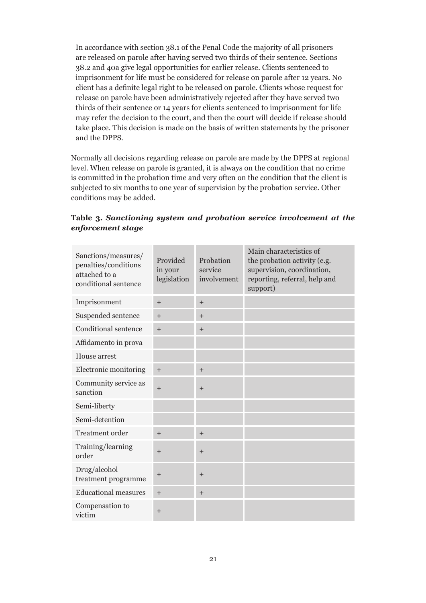In accordance with section 38.1 of the Penal Code the majority of all prisoners are released on parole after having served two thirds of their sentence. Sections 38.2 and 40a give legal opportunities for earlier release. Clients sentenced to imprisonment for life must be considered for release on parole after 12 years. No client has a definite legal right to be released on parole. Clients whose request for release on parole have been administratively rejected after they have served two thirds of their sentence or 14 years for clients sentenced to imprisonment for life may refer the decision to the court, and then the court will decide if release should take place. This decision is made on the basis of written statements by the prisoner and the DPPS.

Normally all decisions regarding release on parole are made by the DPPS at regional level. When release on parole is granted, it is always on the condition that no crime is committed in the probation time and very often on the condition that the client is subjected to six months to one year of supervision by the probation service. Other conditions may be added.

| Sanctions/measures/<br>penalties/conditions<br>attached to a<br>conditional sentence | Provided<br>in your<br>legislation | Probation<br>service<br>involvement | Main characteristics of<br>the probation activity (e.g.<br>supervision, coordination,<br>reporting, referral, help and<br>support) |
|--------------------------------------------------------------------------------------|------------------------------------|-------------------------------------|------------------------------------------------------------------------------------------------------------------------------------|
| Imprisonment                                                                         | $+$                                | $+$                                 |                                                                                                                                    |
| Suspended sentence                                                                   | $+$                                | $+$                                 |                                                                                                                                    |
| Conditional sentence                                                                 | $+$                                | $+$                                 |                                                                                                                                    |
| Affidamento in prova                                                                 |                                    |                                     |                                                                                                                                    |
| House arrest                                                                         |                                    |                                     |                                                                                                                                    |
| Electronic monitoring                                                                | $+$                                | $+$                                 |                                                                                                                                    |
| Community service as<br>sanction                                                     | $+$                                | $^{+}$                              |                                                                                                                                    |
| Semi-liberty                                                                         |                                    |                                     |                                                                                                                                    |
| Semi-detention                                                                       |                                    |                                     |                                                                                                                                    |
| <b>Treatment order</b>                                                               | $+$                                | $^{+}$                              |                                                                                                                                    |
| Training/learning<br>order                                                           | $+$                                | $+$                                 |                                                                                                                                    |
| Drug/alcohol<br>treatment programme                                                  | $\ddot{}$                          | $^{+}$                              |                                                                                                                                    |
| <b>Educational measures</b>                                                          | $+$                                | $+$                                 |                                                                                                                                    |
| Compensation to<br>victim                                                            | $^{+}$                             |                                     |                                                                                                                                    |

**Table 3.** *Sanctioning system and probation service involvement at the enforcement stage*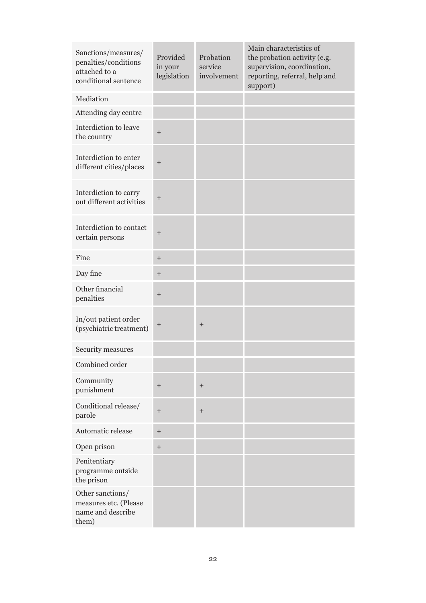| Sanctions/measures/<br>penalties/conditions<br>attached to a<br>conditional sentence | Provided<br>in your<br>legislation | Probation<br>service<br>involvement | Main characteristics of<br>the probation activity (e.g.<br>supervision, coordination,<br>reporting, referral, help and<br>support) |
|--------------------------------------------------------------------------------------|------------------------------------|-------------------------------------|------------------------------------------------------------------------------------------------------------------------------------|
| Mediation                                                                            |                                    |                                     |                                                                                                                                    |
| Attending day centre                                                                 |                                    |                                     |                                                                                                                                    |
| Interdiction to leave<br>the country                                                 | $^{+}$                             |                                     |                                                                                                                                    |
| Interdiction to enter<br>different cities/places                                     | $\qquad \qquad +$                  |                                     |                                                                                                                                    |
| Interdiction to carry<br>out different activities                                    | $^{+}$                             |                                     |                                                                                                                                    |
| Interdiction to contact<br>certain persons                                           | $\boldsymbol{+}$                   |                                     |                                                                                                                                    |
| Fine                                                                                 | $\qquad \qquad +$                  |                                     |                                                                                                                                    |
| Day fine                                                                             | $^{+}$                             |                                     |                                                                                                                                    |
| Other financial<br>penalties                                                         | $\qquad \qquad +$                  |                                     |                                                                                                                                    |
| In/out patient order<br>(psychiatric treatment)                                      | $^{+}$                             | $^{+}$                              |                                                                                                                                    |
| Security measures                                                                    |                                    |                                     |                                                                                                                                    |
| Combined order                                                                       |                                    |                                     |                                                                                                                                    |
| Community<br>punishment                                                              | $^{+}$                             | $\boldsymbol{+}$                    |                                                                                                                                    |
| Conditional release/<br>parole                                                       | $\qquad \qquad +$                  | $^{+}$                              |                                                                                                                                    |
| Automatic release                                                                    |                                    |                                     |                                                                                                                                    |
| Open prison                                                                          |                                    |                                     |                                                                                                                                    |
| Penitentiary<br>programme outside<br>the prison                                      |                                    |                                     |                                                                                                                                    |
| Other sanctions/<br>measures etc. (Please<br>name and describe<br>them)              |                                    |                                     |                                                                                                                                    |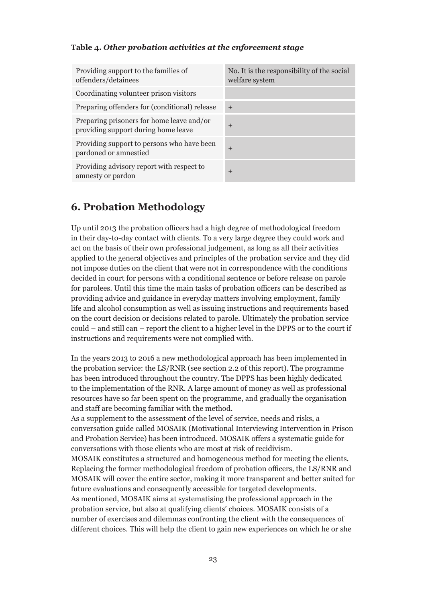#### **Table 4.** *Other probation activities at the enforcement stage*

| Providing support to the families of<br>offenders/detainees                      | No. It is the responsibility of the social<br>welfare system |
|----------------------------------------------------------------------------------|--------------------------------------------------------------|
| Coordinating volunteer prison visitors                                           |                                                              |
| Preparing offenders for (conditional) release                                    | $+$                                                          |
| Preparing prisoners for home leave and/or<br>providing support during home leave | $\overline{+}$                                               |
| Providing support to persons who have been<br>pardoned or amnestied              | $\pm$                                                        |
| Providing advisory report with respect to<br>amnesty or pardon                   | $\pm$                                                        |

# **6. Probation Methodology**

Up until 2013 the probation officers had a high degree of methodological freedom in their day-to-day contact with clients. To a very large degree they could work and act on the basis of their own professional judgement, as long as all their activities applied to the general objectives and principles of the probation service and they did not impose duties on the client that were not in correspondence with the conditions decided in court for persons with a conditional sentence or before release on parole for parolees. Until this time the main tasks of probation officers can be described as providing advice and guidance in everyday matters involving employment, family life and alcohol consumption as well as issuing instructions and requirements based on the court decision or decisions related to parole. Ultimately the probation service could – and still can – report the client to a higher level in the DPPS or to the court if instructions and requirements were not complied with.

In the years 2013 to 2016 a new methodological approach has been implemented in the probation service: the LS/RNR (see section 2.2 of this report). The programme has been introduced throughout the country. The DPPS has been highly dedicated to the implementation of the RNR. A large amount of money as well as professional resources have so far been spent on the programme, and gradually the organisation and staff are becoming familiar with the method. As a supplement to the assessment of the level of service, needs and risks, a conversation guide called MOSAIK (Motivational Interviewing Intervention in Prison and Probation Service) has been introduced. MOSAIK offers a systematic guide for conversations with those clients who are most at risk of recidivism. MOSAIK constitutes a structured and homogeneous method for meeting the clients. Replacing the former methodological freedom of probation officers, the LS/RNR and MOSAIK will cover the entire sector, making it more transparent and better suited for future evaluations and consequently accessible for targeted developments. As mentioned, MOSAIK aims at systematising the professional approach in the

probation service, but also at qualifying clients' choices. MOSAIK consists of a number of exercises and dilemmas confronting the client with the consequences of different choices. This will help the client to gain new experiences on which he or she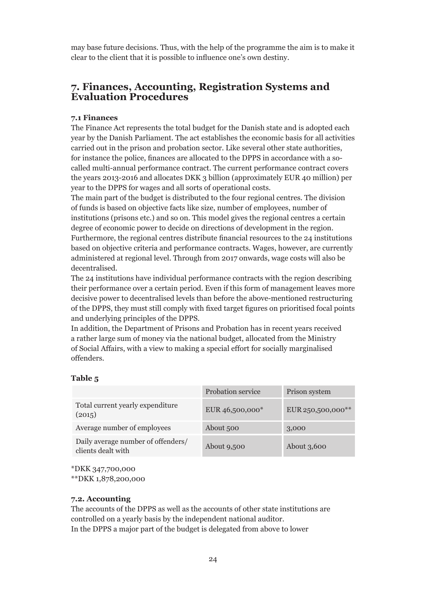may base future decisions. Thus, with the help of the programme the aim is to make it clear to the client that it is possible to influence one's own destiny.

## **7. Finances, Accounting, Registration Systems and Evaluation Procedures**

#### **7.1 Finances**

The Finance Act represents the total budget for the Danish state and is adopted each year by the Danish Parliament. The act establishes the economic basis for all activities carried out in the prison and probation sector. Like several other state authorities, for instance the police, finances are allocated to the DPPS in accordance with a socalled multi-annual performance contract. The current performance contract covers the years 2013-2016 and allocates DKK 3 billion (approximately EUR 40 million) per year to the DPPS for wages and all sorts of operational costs.

The main part of the budget is distributed to the four regional centres. The division of funds is based on objective facts like size, number of employees, number of institutions (prisons etc.) and so on. This model gives the regional centres a certain degree of economic power to decide on directions of development in the region. Furthermore, the regional centres distribute financial resources to the 24 institutions based on objective criteria and performance contracts. Wages, however, are currently administered at regional level. Through from 2017 onwards, wage costs will also be decentralised.

The 24 institutions have individual performance contracts with the region describing their performance over a certain period. Even if this form of management leaves more decisive power to decentralised levels than before the above-mentioned restructuring of the DPPS, they must still comply with fixed target figures on prioritised focal points and underlying principles of the DPPS.

In addition, the Department of Prisons and Probation has in recent years received a rather large sum of money via the national budget, allocated from the Ministry of Social Affairs, with a view to making a special effort for socially marginalised offenders.

#### **Table 5**

|                                                          | Probation service | Prison system     |
|----------------------------------------------------------|-------------------|-------------------|
| Total current yearly expenditure<br>(2015)               | EUR 46,500,000*   | EUR 250,500,000** |
| Average number of employees                              | About 500         | 3,000             |
| Daily average number of offenders/<br>clients dealt with | About 9,500       | About 3,600       |

\*DKK 347,700,000

\*\*DKK 1,878,200,000

#### **7.2. Accounting**

The accounts of the DPPS as well as the accounts of other state institutions are controlled on a yearly basis by the independent national auditor. In the DPPS a major part of the budget is delegated from above to lower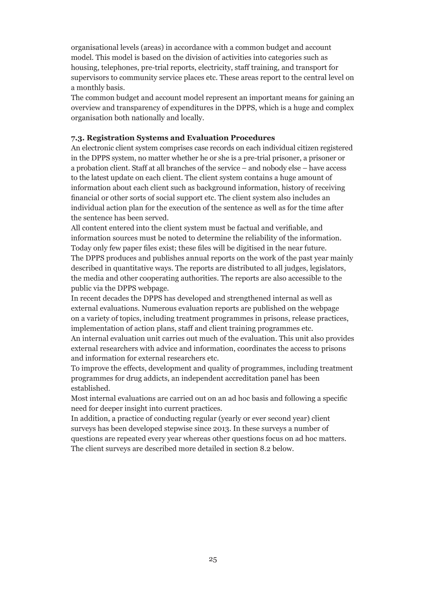organisational levels (areas) in accordance with a common budget and account model. This model is based on the division of activities into categories such as housing, telephones, pre-trial reports, electricity, staff training, and transport for supervisors to community service places etc. These areas report to the central level on a monthly basis.

The common budget and account model represent an important means for gaining an overview and transparency of expenditures in the DPPS, which is a huge and complex organisation both nationally and locally.

#### **7.3. Registration Systems and Evaluation Procedures**

An electronic client system comprises case records on each individual citizen registered in the DPPS system, no matter whether he or she is a pre-trial prisoner, a prisoner or a probation client. Staff at all branches of the service – and nobody else – have access to the latest update on each client. The client system contains a huge amount of information about each client such as background information, history of receiving financial or other sorts of social support etc. The client system also includes an individual action plan for the execution of the sentence as well as for the time after the sentence has been served.

All content entered into the client system must be factual and verifiable, and information sources must be noted to determine the reliability of the information. Today only few paper files exist; these files will be digitised in the near future. The DPPS produces and publishes annual reports on the work of the past year mainly described in quantitative ways. The reports are distributed to all judges, legislators, the media and other cooperating authorities. The reports are also accessible to the public via the DPPS webpage.

In recent decades the DPPS has developed and strengthened internal as well as external evaluations. Numerous evaluation reports are published on the webpage on a variety of topics, including treatment programmes in prisons, release practices, implementation of action plans, staff and client training programmes etc.

An internal evaluation unit carries out much of the evaluation. This unit also provides external researchers with advice and information, coordinates the access to prisons and information for external researchers etc.

To improve the effects, development and quality of programmes, including treatment programmes for drug addicts, an independent accreditation panel has been established.

Most internal evaluations are carried out on an ad hoc basis and following a specific need for deeper insight into current practices.

In addition, a practice of conducting regular (yearly or ever second year) client surveys has been developed stepwise since 2013. In these surveys a number of questions are repeated every year whereas other questions focus on ad hoc matters. The client surveys are described more detailed in section 8.2 below.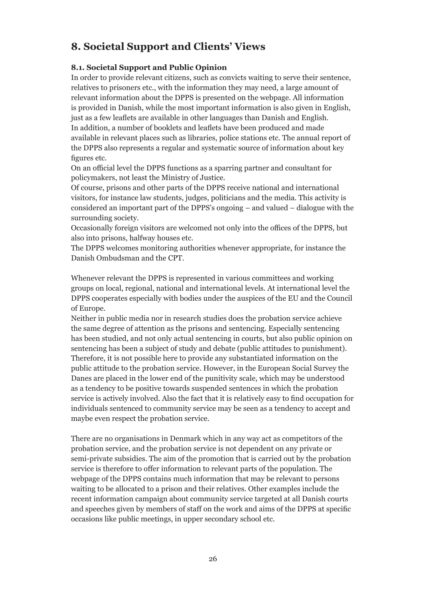# **8. Societal Support and Clients' Views**

## **8.1. Societal Support and Public Opinion**

In order to provide relevant citizens, such as convicts waiting to serve their sentence, relatives to prisoners etc., with the information they may need, a large amount of relevant information about the DPPS is presented on the webpage. All information is provided in Danish, while the most important information is also given in English, just as a few leaflets are available in other languages than Danish and English. In addition, a number of booklets and leaflets have been produced and made available in relevant places such as libraries, police stations etc. The annual report of the DPPS also represents a regular and systematic source of information about key figures etc.

On an official level the DPPS functions as a sparring partner and consultant for policymakers, not least the Ministry of Justice.

Of course, prisons and other parts of the DPPS receive national and international visitors, for instance law students, judges, politicians and the media. This activity is considered an important part of the DPPS's ongoing – and valued – dialogue with the surrounding society.

Occasionally foreign visitors are welcomed not only into the offices of the DPPS, but also into prisons, halfway houses etc.

The DPPS welcomes monitoring authorities whenever appropriate, for instance the Danish Ombudsman and the CPT.

Whenever relevant the DPPS is represented in various committees and working groups on local, regional, national and international levels. At international level the DPPS cooperates especially with bodies under the auspices of the EU and the Council of Europe.

Neither in public media nor in research studies does the probation service achieve the same degree of attention as the prisons and sentencing. Especially sentencing has been studied, and not only actual sentencing in courts, but also public opinion on sentencing has been a subject of study and debate (public attitudes to punishment). Therefore, it is not possible here to provide any substantiated information on the public attitude to the probation service. However, in the European Social Survey the Danes are placed in the lower end of the punitivity scale, which may be understood as a tendency to be positive towards suspended sentences in which the probation service is actively involved. Also the fact that it is relatively easy to find occupation for individuals sentenced to community service may be seen as a tendency to accept and maybe even respect the probation service.

There are no organisations in Denmark which in any way act as competitors of the probation service, and the probation service is not dependent on any private or semi-private subsidies. The aim of the promotion that is carried out by the probation service is therefore to offer information to relevant parts of the population. The webpage of the DPPS contains much information that may be relevant to persons waiting to be allocated to a prison and their relatives. Other examples include the recent information campaign about community service targeted at all Danish courts and speeches given by members of staff on the work and aims of the DPPS at specific occasions like public meetings, in upper secondary school etc.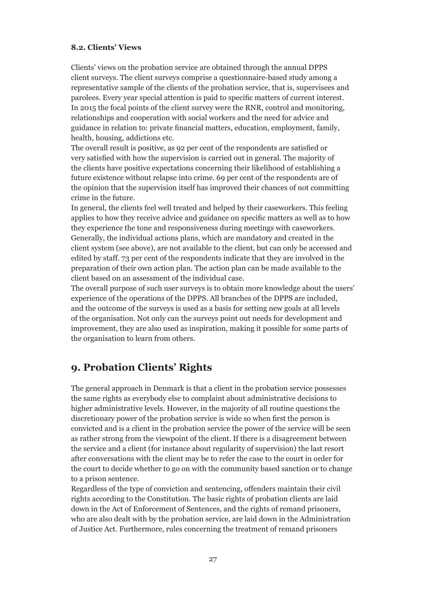#### **8.2. Clients' Views**

Clients' views on the probation service are obtained through the annual DPPS client surveys. The client surveys comprise a questionnaire-based study among a representative sample of the clients of the probation service, that is, supervisees and parolees. Every year special attention is paid to specific matters of current interest. In 2015 the focal points of the client survey were the RNR, control and monitoring, relationships and cooperation with social workers and the need for advice and guidance in relation to: private financial matters, education, employment, family, health, housing, addictions etc.

The overall result is positive, as 92 per cent of the respondents are satisfied or very satisfied with how the supervision is carried out in general. The majority of the clients have positive expectations concerning their likelihood of establishing a future existence without relapse into crime. 69 per cent of the respondents are of the opinion that the supervision itself has improved their chances of not committing crime in the future.

In general, the clients feel well treated and helped by their caseworkers. This feeling applies to how they receive advice and guidance on specific matters as well as to how they experience the tone and responsiveness during meetings with caseworkers. Generally, the individual actions plans, which are mandatory and created in the client system (see above), are not available to the client, but can only be accessed and edited by staff. 73 per cent of the respondents indicate that they are involved in the preparation of their own action plan. The action plan can be made available to the client based on an assessment of the individual case.

The overall purpose of such user surveys is to obtain more knowledge about the users' experience of the operations of the DPPS. All branches of the DPPS are included, and the outcome of the surveys is used as a basis for setting new goals at all levels of the organisation. Not only can the surveys point out needs for development and improvement, they are also used as inspiration, making it possible for some parts of the organisation to learn from others.

# **9. Probation Clients' Rights**

The general approach in Denmark is that a client in the probation service possesses the same rights as everybody else to complaint about administrative decisions to higher administrative levels. However, in the majority of all routine questions the discretionary power of the probation service is wide so when first the person is convicted and is a client in the probation service the power of the service will be seen as rather strong from the viewpoint of the client. If there is a disagreement between the service and a client (for instance about regularity of supervision) the last resort after conversations with the client may be to refer the case to the court in order for the court to decide whether to go on with the community based sanction or to change to a prison sentence.

Regardless of the type of conviction and sentencing, offenders maintain their civil rights according to the Constitution. The basic rights of probation clients are laid down in the Act of Enforcement of Sentences, and the rights of remand prisoners, who are also dealt with by the probation service, are laid down in the Administration of Justice Act. Furthermore, rules concerning the treatment of remand prisoners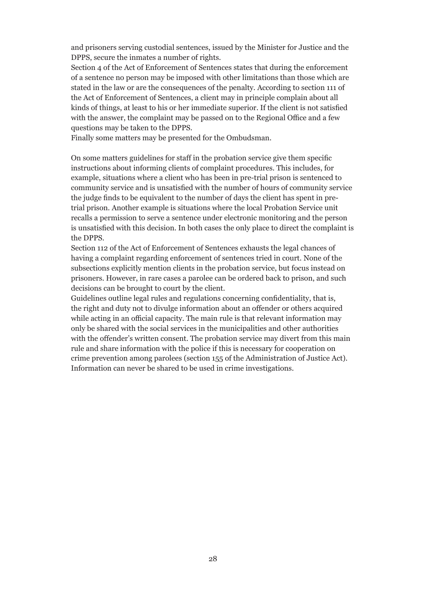and prisoners serving custodial sentences, issued by the Minister for Justice and the DPPS, secure the inmates a number of rights.

Section 4 of the Act of Enforcement of Sentences states that during the enforcement of a sentence no person may be imposed with other limitations than those which are stated in the law or are the consequences of the penalty. According to section 111 of the Act of Enforcement of Sentences, a client may in principle complain about all kinds of things, at least to his or her immediate superior. If the client is not satisfied with the answer, the complaint may be passed on to the Regional Office and a few questions may be taken to the DPPS.

Finally some matters may be presented for the Ombudsman.

On some matters guidelines for staff in the probation service give them specific instructions about informing clients of complaint procedures. This includes, for example, situations where a client who has been in pre-trial prison is sentenced to community service and is unsatisfied with the number of hours of community service the judge finds to be equivalent to the number of days the client has spent in pretrial prison. Another example is situations where the local Probation Service unit recalls a permission to serve a sentence under electronic monitoring and the person is unsatisfied with this decision. In both cases the only place to direct the complaint is the DPPS.

Section 112 of the Act of Enforcement of Sentences exhausts the legal chances of having a complaint regarding enforcement of sentences tried in court. None of the subsections explicitly mention clients in the probation service, but focus instead on prisoners. However, in rare cases a parolee can be ordered back to prison, and such decisions can be brought to court by the client.

Guidelines outline legal rules and regulations concerning confidentiality, that is, the right and duty not to divulge information about an offender or others acquired while acting in an official capacity. The main rule is that relevant information may only be shared with the social services in the municipalities and other authorities with the offender's written consent. The probation service may divert from this main rule and share information with the police if this is necessary for cooperation on crime prevention among parolees (section 155 of the Administration of Justice Act). Information can never be shared to be used in crime investigations.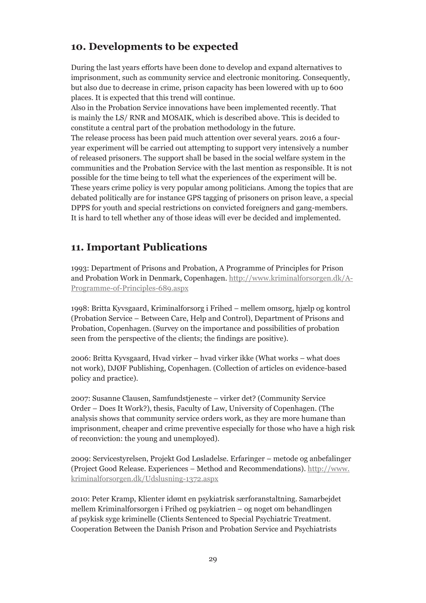# **10. Developments to be expected**

During the last years efforts have been done to develop and expand alternatives to imprisonment, such as community service and electronic monitoring. Consequently, but also due to decrease in crime, prison capacity has been lowered with up to 600 places. It is expected that this trend will continue.

Also in the Probation Service innovations have been implemented recently. That is mainly the LS/ RNR and MOSAIK, which is described above. This is decided to constitute a central part of the probation methodology in the future. The release process has been paid much attention over several years. 2016 a fouryear experiment will be carried out attempting to support very intensively a number of released prisoners. The support shall be based in the social welfare system in the communities and the Probation Service with the last mention as responsible. It is not possible for the time being to tell what the experiences of the experiment will be. These years crime policy is very popular among politicians. Among the topics that are debated politically are for instance GPS tagging of prisoners on prison leave, a special DPPS for youth and special restrictions on convicted foreigners and gang-members. It is hard to tell whether any of those ideas will ever be decided and implemented.

# **11. Important Publications**

1993: Department of Prisons and Probation, A Programme of Principles for Prison and Probation Work in Denmark, Copenhagen. http://www.kriminalforsorgen.dk/A-Programme-of-Principles-689.aspx

1998: Britta Kyvsgaard, Kriminalforsorg i Frihed – mellem omsorg, hjælp og kontrol (Probation Service – Between Care, Help and Control), Department of Prisons and Probation, Copenhagen. (Survey on the importance and possibilities of probation seen from the perspective of the clients; the findings are positive).

2006: Britta Kyvsgaard, Hvad virker – hvad virker ikke (What works – what does not work), DJØF Publishing, Copenhagen. (Collection of articles on evidence-based policy and practice).

2007: Susanne Clausen, Samfundstjeneste – virker det? (Community Service Order – Does It Work?), thesis, Faculty of Law, University of Copenhagen. (The analysis shows that community service orders work, as they are more humane than imprisonment, cheaper and crime preventive especially for those who have a high risk of reconviction: the young and unemployed).

2009: Servicestyrelsen, Projekt God Løsladelse. Erfaringer – metode og anbefalinger (Project Good Release. Experiences – Method and Recommendations). http://www. kriminalforsorgen.dk/Udslusning-1372.aspx

2010: Peter Kramp, Klienter idømt en psykiatrisk særforanstaltning. Samarbejdet mellem Kriminalforsorgen i Frihed og psykiatrien – og noget om behandlingen af psykisk syge kriminelle (Clients Sentenced to Special Psychiatric Treatment. Cooperation Between the Danish Prison and Probation Service and Psychiatrists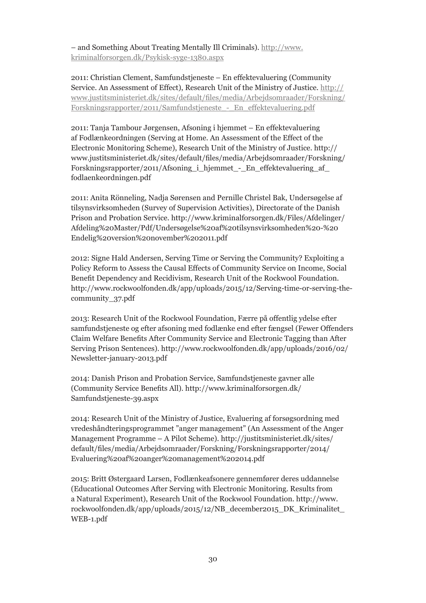– and Something About Treating Mentally Ill Criminals). http://www. kriminalforsorgen.dk/Psykisk-syge-1380.aspx

2011: Christian Clement, Samfundstjeneste – En effektevaluering (Community Service. An Assessment of Effect), Research Unit of the Ministry of Justice. http:// www.justitsministeriet.dk/sites/default/files/media/Arbejdsomraader/Forskning/ Forskningsrapporter/2011/Samfundstjeneste\_-\_En\_effektevaluering.pdf

2011: Tanja Tambour Jørgensen, Afsoning i hjemmet – En effektevaluering af Fodlænkeordningen (Serving at Home. An Assessment of the Effect of the Electronic Monitoring Scheme), Research Unit of the Ministry of Justice. http:// www.justitsministeriet.dk/sites/default/files/media/Arbejdsomraader/Forskning/ Forskningsrapporter/2011/Afsoning\_i\_hjemmet\_-\_En\_effektevaluering\_af\_ fodlaenkeordningen.pdf

2011: Anita Rönneling, Nadja Sørensen and Pernille Christel Bak, Undersøgelse af tilsynsvirksomheden (Survey of Supervision Activities), Directorate of the Danish Prison and Probation Service. http://www.kriminalforsorgen.dk/Files/Afdelinger/ Afdeling%20Master/Pdf/Undersøgelse%20af%20tilsynsvirksomheden%20-%20 Endelig%20version%20november%202011.pdf

2012: Signe Hald Andersen, Serving Time or Serving the Community? Exploiting a Policy Reform to Assess the Causal Effects of Community Service on Income, Social Benefit Dependency and Recidivism, Research Unit of the Rockwool Foundation. http://www.rockwoolfonden.dk/app/uploads/2015/12/Serving-time-or-serving-thecommunity\_37.pdf

2013: Research Unit of the Rockwool Foundation, Færre på offentlig ydelse efter samfundstjeneste og efter afsoning med fodlænke end efter fængsel (Fewer Offenders Claim Welfare Benefits After Community Service and Electronic Tagging than After Serving Prison Sentences). http://www.rockwoolfonden.dk/app/uploads/2016/02/ Newsletter-january-2013.pdf

2014: Danish Prison and Probation Service, Samfundstjeneste gavner alle (Community Service Benefits All). http://www.kriminalforsorgen.dk/ Samfundstjeneste-39.aspx

2014: Research Unit of the Ministry of Justice, Evaluering af forsøgsordning med vredeshåndteringsprogrammet "anger management" (An Assessment of the Anger Management Programme – A Pilot Scheme). http://justitsministeriet.dk/sites/ default/files/media/Arbejdsomraader/Forskning/Forskningsrapporter/2014/ Evaluering%20af%20anger%20management%202014.pdf

2015: Britt Østergaard Larsen, Fodlænkeafsonere gennemfører deres uddannelse (Educational Outcomes After Serving with Electronic Monitoring. Results from a Natural Experiment), Research Unit of the Rockwool Foundation. http://www. rockwoolfonden.dk/app/uploads/2015/12/NB\_december2015\_DK\_Kriminalitet\_ WEB-1.pdf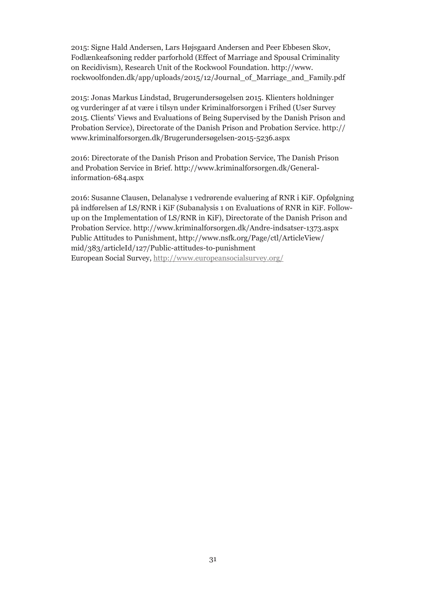2015: Signe Hald Andersen, Lars Højsgaard Andersen and Peer Ebbesen Skov, Fodlænkeafsoning redder parforhold (Effect of Marriage and Spousal Criminality on Recidivism), Research Unit of the Rockwool Foundation. http://www. rockwoolfonden.dk/app/uploads/2015/12/Journal\_of\_Marriage\_and\_Family.pdf

2015: Jonas Markus Lindstad, Brugerundersøgelsen 2015. Klienters holdninger og vurderinger af at være i tilsyn under Kriminalforsorgen i Frihed (User Survey 2015. Clients' Views and Evaluations of Being Supervised by the Danish Prison and Probation Service), Directorate of the Danish Prison and Probation Service. http:// www.kriminalforsorgen.dk/Brugerundersøgelsen-2015-5236.aspx

2016: Directorate of the Danish Prison and Probation Service, The Danish Prison and Probation Service in Brief. http://www.kriminalforsorgen.dk/Generalinformation-684.aspx

2016: Susanne Clausen, Delanalyse 1 vedrørende evaluering af RNR i KiF. Opfølgning på indførelsen af LS/RNR i KiF (Subanalysis 1 on Evaluations of RNR in KiF. Followup on the Implementation of LS/RNR in KiF), Directorate of the Danish Prison and Probation Service. http://www.kriminalforsorgen.dk/Andre-indsatser-1373.aspx Public Attitudes to Punishment, http://www.nsfk.org/Page/ctl/ArticleView/ mid/383/articleId/127/Public-attitudes-to-punishment European Social Survey, http://www.europeansocialsurvey.org/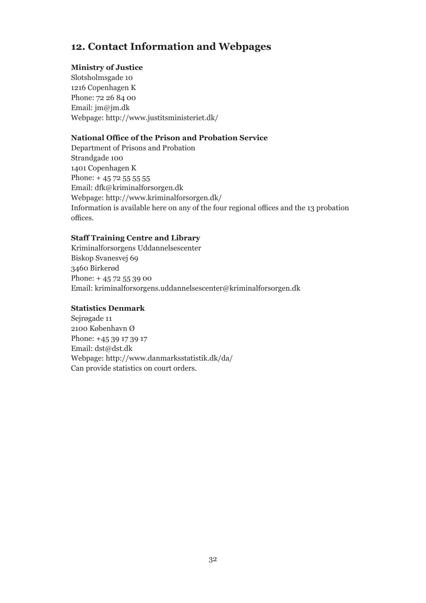# **12. Contact Information and Webpages**

## **Ministry of Justice**

Slotsholmsgade 10 1216 Copenhagen K Phone: 72 26 84 00 Email: jm@jm.dk Webpage: http://www.justitsministeriet.dk/

## **National Office of the Prison and Probation Service**

Department of Prisons and Probation Strandgade 100 1401 Copenhagen K Phone:  $+4572555555$ Email: dfk@kriminalforsorgen.dk Webpage: http://www.kriminalforsorgen.dk/ Information is available here on any of the four regional offices and the 13 probation offices.

## **Staff Training Centre and Library**

Kriminalforsorgens Uddannelsescenter Biskop Svanesvej 69 3460 Birkerød Phone: + 45 72 55 39 00 Email: kriminalforsorgens.uddannelsescenter@kriminalforsorgen.dk

## **Statistics Denmark**

Sejrøgade 11 2100 København Ø Phone: +45 39 17 39 17 Email: dst@dst.dk Webpage: http://www.danmarksstatistik.dk/da/ Can provide statistics on court orders.